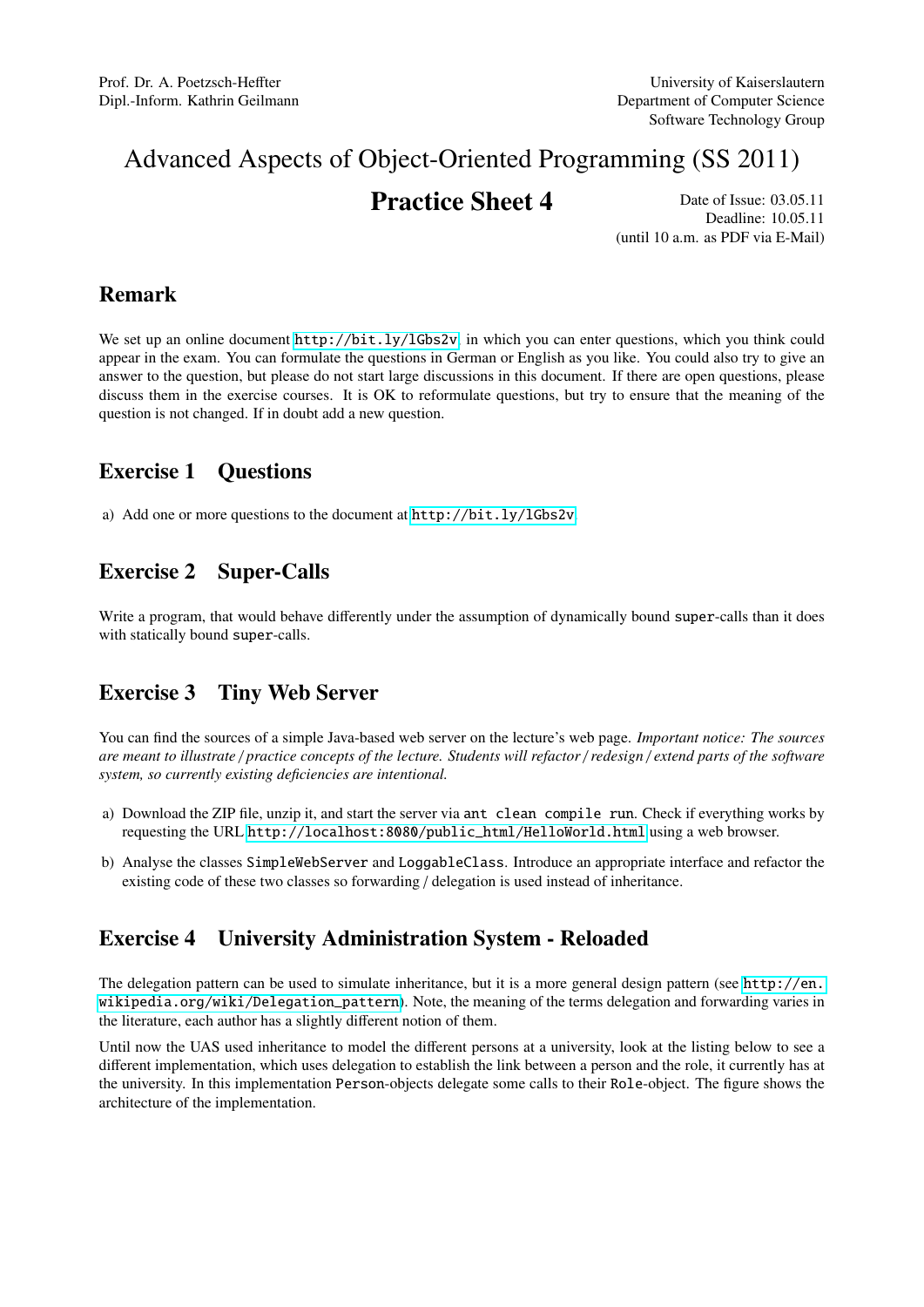# Advanced Aspects of Object-Oriented Programming (SS 2011)

## **Practice Sheet 4** Date of Issue: 03.05.11

Deadline: 10.05.11 (until 10 a.m. as PDF via E-Mail)

### Remark

We set up an online document  $http://bitl.v/1Gbs2v, in which you can enter questions, which you think could$ appear in the exam. You can formulate the questions in German or English as you like. You could also try to give an answer to the question, but please do not start large discussions in this document. If there are open questions, please discuss them in the exercise courses. It is OK to reformulate questions, but try to ensure that the meaning of the question is not changed. If in doubt add a new question.

### Exercise 1 Questions

a) Add one or more questions to the document at <http://bit.ly/lGbs2v>.

## Exercise 2 Super-Calls

Write a program, that would behave differently under the assumption of dynamically bound super-calls than it does with statically bound super-calls.

### Exercise 3 Tiny Web Server

You can find the sources of a simple Java-based web server on the lecture's web page. *Important notice: The sources are meant to illustrate* / *practice concepts of the lecture. Students will refactor* / *redesign* / *extend parts of the software system, so currently existing deficiencies are intentional.*

- a) Download the ZIP file, unzip it, and start the server via ant clean compile run. Check if everything works by requesting the URL [http://localhost:8080/public\\_html/HelloWorld.html](http://localhost:8080/public_html/HelloWorld.html) using a web browser.
- b) Analyse the classes SimpleWebServer and LoggableClass. Introduce an appropriate interface and refactor the existing code of these two classes so forwarding / delegation is used instead of inheritance.

### Exercise 4 University Administration System - Reloaded

The delegation pattern can be used to simulate inheritance, but it is a more general design pattern (see [http://en.](http://en.wikipedia.org/wiki/Delegation_pattern) [wikipedia.org/wiki/Delegation\\_pattern](http://en.wikipedia.org/wiki/Delegation_pattern)). Note, the meaning of the terms delegation and forwarding varies in the literature, each author has a slightly different notion of them.

Until now the UAS used inheritance to model the different persons at a university, look at the listing below to see a different implementation, which uses delegation to establish the link between a person and the role, it currently has at the university. In this implementation Person-objects delegate some calls to their Role-object. The figure shows the architecture of the implementation.